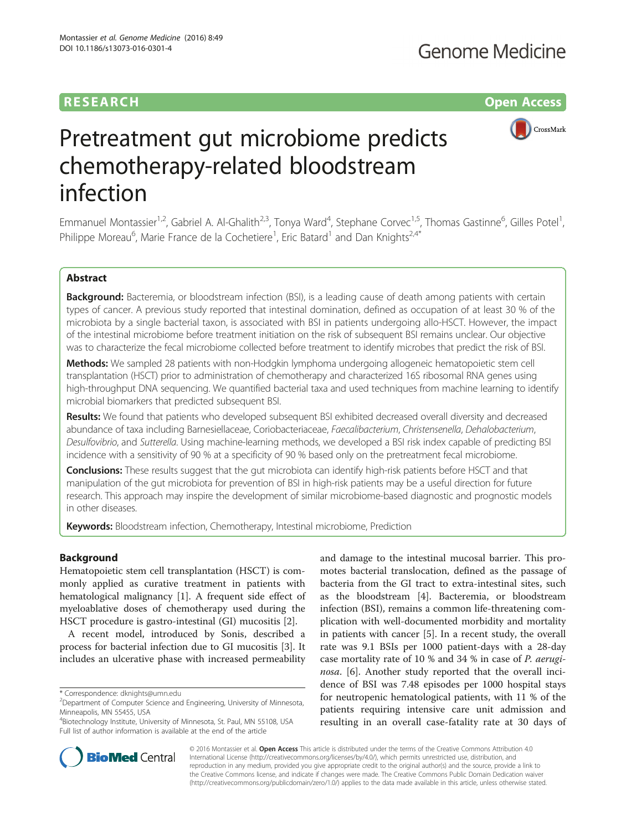## RESEARCH **RESEARCH CHANNEL EXECUTE ACCESS**



# Pretreatment gut microbiome predicts chemotherapy-related bloodstream infection

Emmanuel Montassier<sup>1,2</sup>, Gabriel A. Al-Ghalith<sup>2,3</sup>, Tonya Ward<sup>4</sup>, Stephane Corvec<sup>1,5</sup>, Thomas Gastinne<sup>6</sup>, Gilles Potel<sup>1</sup> , Philippe Moreau<sup>6</sup>, Marie France de la Cochetiere<sup>1</sup>, Eric Batard<sup>1</sup> and Dan Knights<sup>2,4\*</sup>

## Abstract

Background: Bacteremia, or bloodstream infection (BSI), is a leading cause of death among patients with certain types of cancer. A previous study reported that intestinal domination, defined as occupation of at least 30 % of the microbiota by a single bacterial taxon, is associated with BSI in patients undergoing allo-HSCT. However, the impact of the intestinal microbiome before treatment initiation on the risk of subsequent BSI remains unclear. Our objective was to characterize the fecal microbiome collected before treatment to identify microbes that predict the risk of BSI.

Methods: We sampled 28 patients with non-Hodgkin lymphoma undergoing allogeneic hematopoietic stem cell transplantation (HSCT) prior to administration of chemotherapy and characterized 16S ribosomal RNA genes using high-throughput DNA sequencing. We quantified bacterial taxa and used techniques from machine learning to identify microbial biomarkers that predicted subsequent BSI.

Results: We found that patients who developed subsequent BSI exhibited decreased overall diversity and decreased abundance of taxa including Barnesiellaceae, Coriobacteriaceae, Faecalibacterium, Christensenella, Dehalobacterium, Desulfovibrio, and Sutterella. Using machine-learning methods, we developed a BSI risk index capable of predicting BSI incidence with a sensitivity of 90 % at a specificity of 90 % based only on the pretreatment fecal microbiome.

Conclusions: These results suggest that the gut microbiota can identify high-risk patients before HSCT and that manipulation of the gut microbiota for prevention of BSI in high-risk patients may be a useful direction for future research. This approach may inspire the development of similar microbiome-based diagnostic and prognostic models in other diseases.

Keywords: Bloodstream infection, Chemotherapy, Intestinal microbiome, Prediction

## Background

Hematopoietic stem cell transplantation (HSCT) is commonly applied as curative treatment in patients with hematological malignancy [[1](#page-9-0)]. A frequent side effect of myeloablative doses of chemotherapy used during the HSCT procedure is gastro-intestinal (GI) mucositis [[2\]](#page-9-0).

A recent model, introduced by Sonis, described a process for bacterial infection due to GI mucositis [[3\]](#page-9-0). It includes an ulcerative phase with increased permeability

4Biotechnology Institute, University of Minnesota, St. Paul, MN 55108, USA Full list of author information is available at the end of the article

and damage to the intestinal mucosal barrier. This promotes bacterial translocation, defined as the passage of bacteria from the GI tract to extra-intestinal sites, such as the bloodstream [\[4](#page-9-0)]. Bacteremia, or bloodstream infection (BSI), remains a common life-threatening complication with well-documented morbidity and mortality in patients with cancer [[5\]](#page-9-0). In a recent study, the overall rate was 9.1 BSIs per 1000 patient-days with a 28-day case mortality rate of 10 % and 34 % in case of P. aerugi-nosa. [[6\]](#page-9-0). Another study reported that the overall incidence of BSI was 7.48 episodes per 1000 hospital stays for neutropenic hematological patients, with 11 % of the patients requiring intensive care unit admission and resulting in an overall case-fatality rate at 30 days of



© 2016 Montassier et al. Open Access This article is distributed under the terms of the Creative Commons Attribution 4.0 International License [\(http://creativecommons.org/licenses/by/4.0/](http://creativecommons.org/licenses/by/4.0/)), which permits unrestricted use, distribution, and reproduction in any medium, provided you give appropriate credit to the original author(s) and the source, provide a link to the Creative Commons license, and indicate if changes were made. The Creative Commons Public Domain Dedication waiver [\(http://creativecommons.org/publicdomain/zero/1.0/](http://creativecommons.org/publicdomain/zero/1.0/)) applies to the data made available in this article, unless otherwise stated.

<sup>\*</sup> Correspondence: [dknights@umn.edu](mailto:dknights@umn.edu) <sup>2</sup>

<sup>&</sup>lt;sup>2</sup>Department of Computer Science and Engineering, University of Minnesota, Minneapolis, MN 55455, USA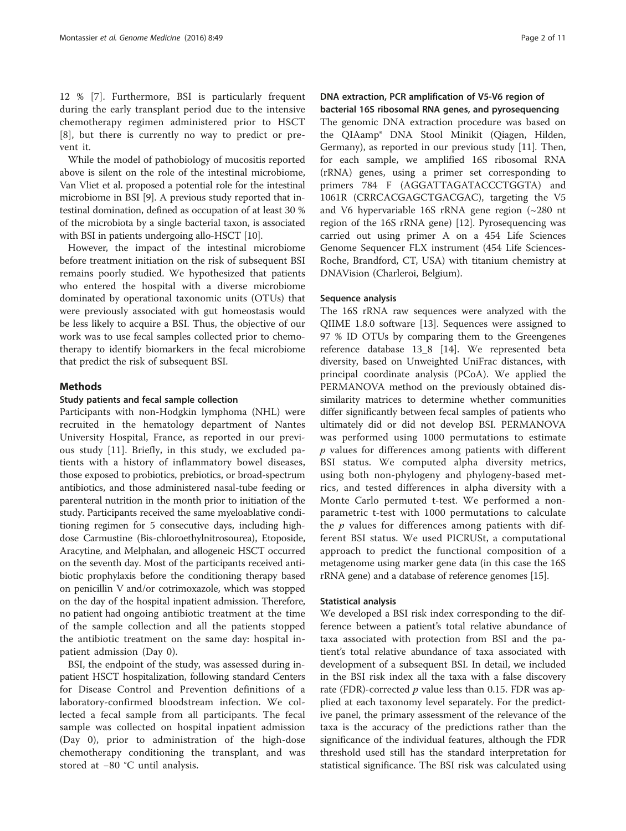12 % [[7\]](#page-9-0). Furthermore, BSI is particularly frequent during the early transplant period due to the intensive chemotherapy regimen administered prior to HSCT [[8\]](#page-9-0), but there is currently no way to predict or prevent it.

While the model of pathobiology of mucositis reported above is silent on the role of the intestinal microbiome, Van Vliet et al. proposed a potential role for the intestinal microbiome in BSI [[9\]](#page-9-0). A previous study reported that intestinal domination, defined as occupation of at least 30 % of the microbiota by a single bacterial taxon, is associated with BSI in patients undergoing allo-HSCT [\[10\]](#page-9-0).

However, the impact of the intestinal microbiome before treatment initiation on the risk of subsequent BSI remains poorly studied. We hypothesized that patients who entered the hospital with a diverse microbiome dominated by operational taxonomic units (OTUs) that were previously associated with gut homeostasis would be less likely to acquire a BSI. Thus, the objective of our work was to use fecal samples collected prior to chemotherapy to identify biomarkers in the fecal microbiome that predict the risk of subsequent BSI.

#### Methods

## Study patients and fecal sample collection

Participants with non-Hodgkin lymphoma (NHL) were recruited in the hematology department of Nantes University Hospital, France, as reported in our previous study [[11\]](#page-9-0). Briefly, in this study, we excluded patients with a history of inflammatory bowel diseases, those exposed to probiotics, prebiotics, or broad-spectrum antibiotics, and those administered nasal-tube feeding or parenteral nutrition in the month prior to initiation of the study. Participants received the same myeloablative conditioning regimen for 5 consecutive days, including highdose Carmustine (Bis-chloroethylnitrosourea), Etoposide, Aracytine, and Melphalan, and allogeneic HSCT occurred on the seventh day. Most of the participants received antibiotic prophylaxis before the conditioning therapy based on penicillin V and/or cotrimoxazole, which was stopped on the day of the hospital inpatient admission. Therefore, no patient had ongoing antibiotic treatment at the time of the sample collection and all the patients stopped the antibiotic treatment on the same day: hospital inpatient admission (Day 0).

BSI, the endpoint of the study, was assessed during inpatient HSCT hospitalization, following standard Centers for Disease Control and Prevention definitions of a laboratory-confirmed bloodstream infection. We collected a fecal sample from all participants. The fecal sample was collected on hospital inpatient admission (Day 0), prior to administration of the high-dose chemotherapy conditioning the transplant, and was stored at −80 °C until analysis.

## DNA extraction, PCR amplification of V5-V6 region of bacterial 16S ribosomal RNA genes, and pyrosequencing

The genomic DNA extraction procedure was based on the QIAamp® DNA Stool Minikit (Qiagen, Hilden, Germany), as reported in our previous study [\[11](#page-9-0)]. Then, for each sample, we amplified 16S ribosomal RNA (rRNA) genes, using a primer set corresponding to primers 784 F (AGGATTAGATACCCTGGTA) and 1061R (CRRCACGAGCTGACGAC), targeting the V5 and V6 hypervariable 16S rRNA gene region (~280 nt region of the 16S rRNA gene) [[12\]](#page-9-0). Pyrosequencing was carried out using primer A on a 454 Life Sciences Genome Sequencer FLX instrument (454 Life Sciences-Roche, Brandford, CT, USA) with titanium chemistry at DNAVision (Charleroi, Belgium).

#### Sequence analysis

The 16S rRNA raw sequences were analyzed with the QIIME 1.8.0 software [[13](#page-9-0)]. Sequences were assigned to 97 % ID OTUs by comparing them to the Greengenes reference database 13\_8 [\[14\]](#page-9-0). We represented beta diversity, based on Unweighted UniFrac distances, with principal coordinate analysis (PCoA). We applied the PERMANOVA method on the previously obtained dissimilarity matrices to determine whether communities differ significantly between fecal samples of patients who ultimately did or did not develop BSI. PERMANOVA was performed using 1000 permutations to estimate p values for differences among patients with different BSI status. We computed alpha diversity metrics, using both non-phylogeny and phylogeny-based metrics, and tested differences in alpha diversity with a Monte Carlo permuted t-test. We performed a nonparametric t-test with 1000 permutations to calculate the  $p$  values for differences among patients with different BSI status. We used PICRUSt, a computational approach to predict the functional composition of a metagenome using marker gene data (in this case the 16S rRNA gene) and a database of reference genomes [[15](#page-9-0)].

#### Statistical analysis

We developed a BSI risk index corresponding to the difference between a patient's total relative abundance of taxa associated with protection from BSI and the patient's total relative abundance of taxa associated with development of a subsequent BSI. In detail, we included in the BSI risk index all the taxa with a false discovery rate (FDR)-corrected  $p$  value less than 0.15. FDR was applied at each taxonomy level separately. For the predictive panel, the primary assessment of the relevance of the taxa is the accuracy of the predictions rather than the significance of the individual features, although the FDR threshold used still has the standard interpretation for statistical significance. The BSI risk was calculated using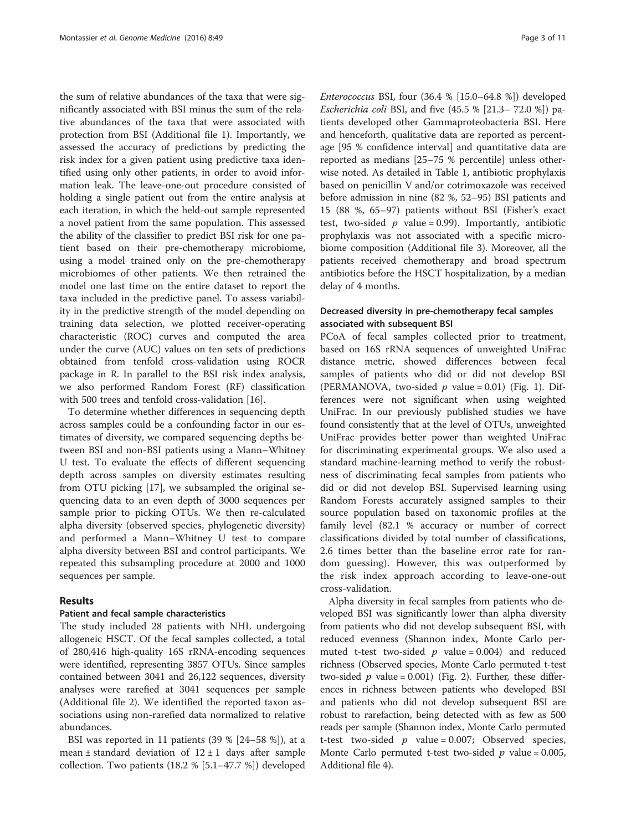the sum of relative abundances of the taxa that were significantly associated with BSI minus the sum of the relative abundances of the taxa that were associated with protection from BSI (Additional file [1\)](#page-8-0). Importantly, we assessed the accuracy of predictions by predicting the risk index for a given patient using predictive taxa identified using only other patients, in order to avoid information leak. The leave-one-out procedure consisted of holding a single patient out from the entire analysis at each iteration, in which the held-out sample represented a novel patient from the same population. This assessed the ability of the classifier to predict BSI risk for one patient based on their pre-chemotherapy microbiome, using a model trained only on the pre-chemotherapy microbiomes of other patients. We then retrained the model one last time on the entire dataset to report the taxa included in the predictive panel. To assess variability in the predictive strength of the model depending on training data selection, we plotted receiver-operating characteristic (ROC) curves and computed the area under the curve (AUC) values on ten sets of predictions obtained from tenfold cross-validation using ROCR package in R. In parallel to the BSI risk index analysis, we also performed Random Forest (RF) classification with 500 trees and tenfold cross-validation [[16](#page-9-0)].

To determine whether differences in sequencing depth across samples could be a confounding factor in our estimates of diversity, we compared sequencing depths between BSI and non-BSI patients using a Mann–Whitney U test. To evaluate the effects of different sequencing depth across samples on diversity estimates resulting from OTU picking [\[17\]](#page-9-0), we subsampled the original sequencing data to an even depth of 3000 sequences per sample prior to picking OTUs. We then re-calculated alpha diversity (observed species, phylogenetic diversity) and performed a Mann–Whitney U test to compare alpha diversity between BSI and control participants. We repeated this subsampling procedure at 2000 and 1000 sequences per sample.

#### Results

#### Patient and fecal sample characteristics

The study included 28 patients with NHL undergoing allogeneic HSCT. Of the fecal samples collected, a total of 280,416 high-quality 16S rRNA-encoding sequences were identified, representing 3857 OTUs. Since samples contained between 3041 and 26,122 sequences, diversity analyses were rarefied at 3041 sequences per sample (Additional file [2\)](#page-8-0). We identified the reported taxon associations using non-rarefied data normalized to relative abundances.

BSI was reported in 11 patients (39 % [24–58 %]), at a mean  $\pm$  standard deviation of  $12 \pm 1$  days after sample collection. Two patients (18.2 % [5.1–47.7 %]) developed Enterococcus BSI, four (36.4 % [15.0–64.8 %]) developed Escherichia coli BSI, and five (45.5 % [21.3– 72.0 %]) patients developed other Gammaproteobacteria BSI. Here and henceforth, qualitative data are reported as percentage [95 % confidence interval] and quantitative data are reported as medians [25–75 % percentile] unless otherwise noted. As detailed in Table [1,](#page-3-0) antibiotic prophylaxis based on penicillin V and/or cotrimoxazole was received before admission in nine (82 %, 52–95) BSI patients and 15 (88 %, 65–97) patients without BSI (Fisher's exact test, two-sided  $p$  value = 0.99). Importantly, antibiotic prophylaxis was not associated with a specific microbiome composition (Additional file [3\)](#page-8-0). Moreover, all the patients received chemotherapy and broad spectrum antibiotics before the HSCT hospitalization, by a median delay of 4 months.

## Decreased diversity in pre-chemotherapy fecal samples associated with subsequent BSI

PCoA of fecal samples collected prior to treatment, based on 16S rRNA sequences of unweighted UniFrac distance metric, showed differences between fecal samples of patients who did or did not develop BSI (PERMANOVA, two-sided  $p$  value = 0.01) (Fig. [1\)](#page-3-0). Differences were not significant when using weighted UniFrac. In our previously published studies we have found consistently that at the level of OTUs, unweighted UniFrac provides better power than weighted UniFrac for discriminating experimental groups. We also used a standard machine-learning method to verify the robustness of discriminating fecal samples from patients who did or did not develop BSI. Supervised learning using Random Forests accurately assigned samples to their source population based on taxonomic profiles at the family level (82.1 % accuracy or number of correct classifications divided by total number of classifications, 2.6 times better than the baseline error rate for random guessing). However, this was outperformed by the risk index approach according to leave-one-out cross-validation.

Alpha diversity in fecal samples from patients who developed BSI was significantly lower than alpha diversity from patients who did not develop subsequent BSI, with reduced evenness (Shannon index, Monte Carlo permuted t-test two-sided  $p$  value = 0.004) and reduced richness (Observed species, Monte Carlo permuted t-test two-sided  $p$  value = 0.001) (Fig. [2\)](#page-4-0). Further, these differences in richness between patients who developed BSI and patients who did not develop subsequent BSI are robust to rarefaction, being detected with as few as 500 reads per sample (Shannon index, Monte Carlo permuted t-test two-sided  $p$  value = 0.007; Observed species, Monte Carlo permuted t-test two-sided  $p$  value = 0.005, Additional file [4](#page-8-0)).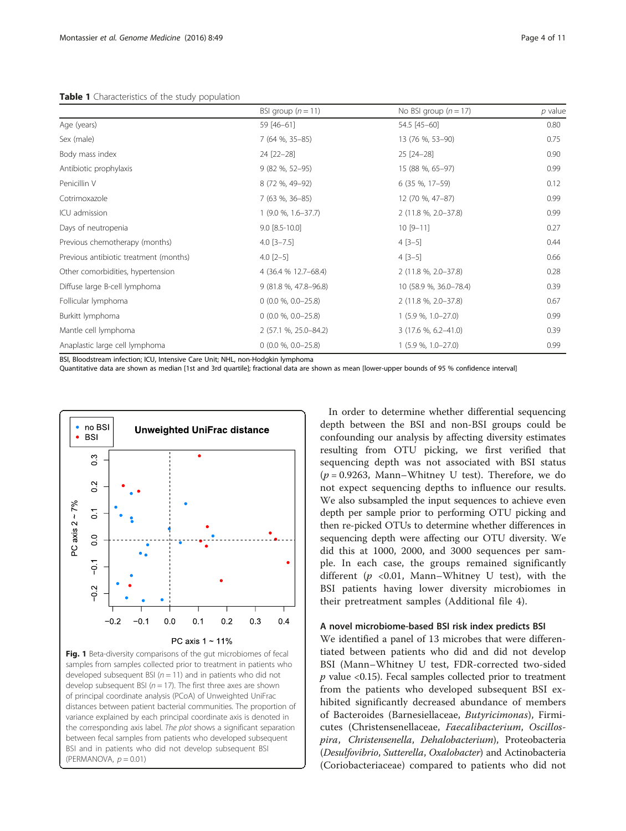<span id="page-3-0"></span>Table 1 Characteristics of the study population

|                                        | BSI group $(n = 11)$       | No BSI group $(n = 17)$ | $p$ value |
|----------------------------------------|----------------------------|-------------------------|-----------|
| Age (years)                            | 59 [46-61]                 | 54.5 [45-60]            | 0.80      |
| Sex (male)                             | 7 (64 %, 35-85)            | 13 (76 %, 53-90)        | 0.75      |
| Body mass index                        | 24 [22-28]                 | 25 [24-28]              | 0.90      |
| Antibiotic prophylaxis                 | 9 (82 %, 52-95)            | 15 (88 %, 65-97)        | 0.99      |
| Penicillin V                           | 8 (72 %, 49-92)            | 6 (35 %, 17-59)         | 0.12      |
| Cotrimoxazole                          | 7 (63 %, 36-85)            | 12 (70 %, 47-87)        | 0.99      |
| ICU admission                          | $1(9.0 %, 1.6-37.7)$       | 2 (11.8 %, 2.0-37.8)    | 0.99      |
| Days of neutropenia                    | 9.0 [8.5-10.0]             | $10[9-11]$              | 0.27      |
| Previous chemotherapy (months)         | $4.0$ [3-7.5]              | $4[3-5]$                | 0.44      |
| Previous antibiotic treatment (months) | $4.0$ [2-5]                | $4[3-5]$                | 0.66      |
| Other comorbidities, hypertension      | 4 (36.4 % 12.7–68.4)       | 2 (11.8 %, 2.0-37.8)    | 0.28      |
| Diffuse large B-cell lymphoma          | 9 (81.8 %, 47.8-96.8)      | 10 (58.9 %, 36.0-78.4)  | 0.39      |
| Follicular lymphoma                    | $0(0.0 \%$ , $0.0 - 25.8)$ | 2 (11.8 %, 2.0-37.8)    | 0.67      |
| Burkitt lymphoma                       | $0(0.0 \%$ , $0.0 - 25.8)$ | $1(5.9\%, 1.0-27.0)$    | 0.99      |
| Mantle cell lymphoma                   | 2 (57.1 %, 25.0-84.2)      | 3(17.6 %, 6.2–41.0)     | 0.39      |
| Anaplastic large cell lymphoma         | $0(0.0 \%$ , $0.0 - 25.8)$ | $1(5.9\%1.0-27.0)$      | 0.99      |

BSI, Bloodstream infection; ICU, Intensive Care Unit; NHL, non-Hodgkin lymphoma

Quantitative data are shown as median [1st and 3rd quartile]; fractional data are shown as mean [lower-upper bounds of 95 % confidence interval]



Fig. 1 Beta-diversity comparisons of the gut microbiomes of fecal samples from samples collected prior to treatment in patients who developed subsequent BSI ( $n = 11$ ) and in patients who did not develop subsequent BSI ( $n = 17$ ). The first three axes are shown of principal coordinate analysis (PCoA) of Unweighted UniFrac distances between patient bacterial communities. The proportion of variance explained by each principal coordinate axis is denoted in the corresponding axis label. The plot shows a significant separation between fecal samples from patients who developed subsequent BSI and in patients who did not develop subsequent BSI (PERMANOVA,  $p = 0.01$ )

In order to determine whether differential sequencing depth between the BSI and non-BSI groups could be confounding our analysis by affecting diversity estimates resulting from OTU picking, we first verified that sequencing depth was not associated with BSI status  $(p = 0.9263,$  Mann–Whitney U test). Therefore, we do not expect sequencing depths to influence our results. We also subsampled the input sequences to achieve even depth per sample prior to performing OTU picking and then re-picked OTUs to determine whether differences in sequencing depth were affecting our OTU diversity. We did this at 1000, 2000, and 3000 sequences per sample. In each case, the groups remained significantly different ( $p \le 0.01$ , Mann–Whitney U test), with the BSI patients having lower diversity microbiomes in their pretreatment samples (Additional file [4](#page-8-0)).

#### A novel microbiome-based BSI risk index predicts BSI

We identified a panel of 13 microbes that were differentiated between patients who did and did not develop BSI (Mann–Whitney U test, FDR-corrected two-sided  $p$  value <0.15). Fecal samples collected prior to treatment from the patients who developed subsequent BSI exhibited significantly decreased abundance of members of Bacteroides (Barnesiellaceae, Butyricimonas), Firmicutes (Christensenellaceae, Faecalibacterium, Oscillospira, Christensenella, Dehalobacterium), Proteobacteria (Desulfovibrio, Sutterella, Oxalobacter) and Actinobacteria (Coriobacteriaceae) compared to patients who did not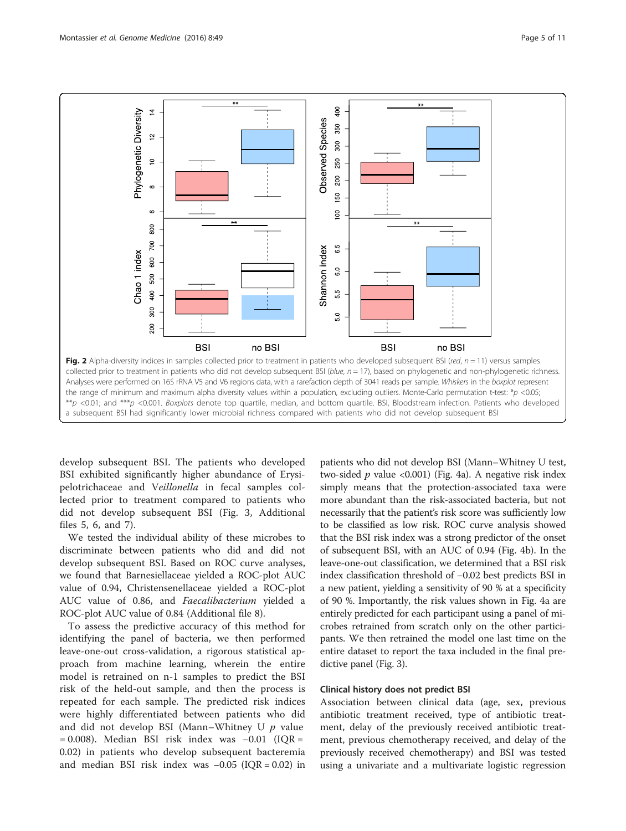<span id="page-4-0"></span>

develop subsequent BSI. The patients who developed BSI exhibited significantly higher abundance of Erysipelotrichaceae and Veillonella in fecal samples collected prior to treatment compared to patients who did not develop subsequent BSI (Fig. [3](#page-5-0), Additional files [5](#page-8-0), [6](#page-8-0), and [7\)](#page-8-0).

We tested the individual ability of these microbes to discriminate between patients who did and did not develop subsequent BSI. Based on ROC curve analyses, we found that Barnesiellaceae yielded a ROC-plot AUC value of 0.94, Christensenellaceae yielded a ROC-plot AUC value of 0.86, and Faecalibacterium yielded a ROC-plot AUC value of 0.84 (Additional file [8](#page-8-0)).

To assess the predictive accuracy of this method for identifying the panel of bacteria, we then performed leave-one-out cross-validation, a rigorous statistical approach from machine learning, wherein the entire model is retrained on n-1 samples to predict the BSI risk of the held-out sample, and then the process is repeated for each sample. The predicted risk indices were highly differentiated between patients who did and did not develop BSI (Mann–Whitney U  $p$  value = 0.008). Median BSI risk index was −0.01 (IQR = 0.02) in patients who develop subsequent bacteremia and median BSI risk index was −0.05 (IQR = 0.02) in

patients who did not develop BSI (Mann–Whitney U test, two-sided  $p$  value <0.001) (Fig. [4a](#page-5-0)). A negative risk index simply means that the protection-associated taxa were more abundant than the risk-associated bacteria, but not necessarily that the patient's risk score was sufficiently low to be classified as low risk. ROC curve analysis showed that the BSI risk index was a strong predictor of the onset of subsequent BSI, with an AUC of 0.94 (Fig. [4b\)](#page-5-0). In the leave-one-out classification, we determined that a BSI risk index classification threshold of −0.02 best predicts BSI in a new patient, yielding a sensitivity of 90 % at a specificity of 90 %. Importantly, the risk values shown in Fig. [4a](#page-5-0) are entirely predicted for each participant using a panel of microbes retrained from scratch only on the other participants. We then retrained the model one last time on the entire dataset to report the taxa included in the final predictive panel (Fig. [3](#page-5-0)).

#### Clinical history does not predict BSI

Association between clinical data (age, sex, previous antibiotic treatment received, type of antibiotic treatment, delay of the previously received antibiotic treatment, previous chemotherapy received, and delay of the previously received chemotherapy) and BSI was tested using a univariate and a multivariate logistic regression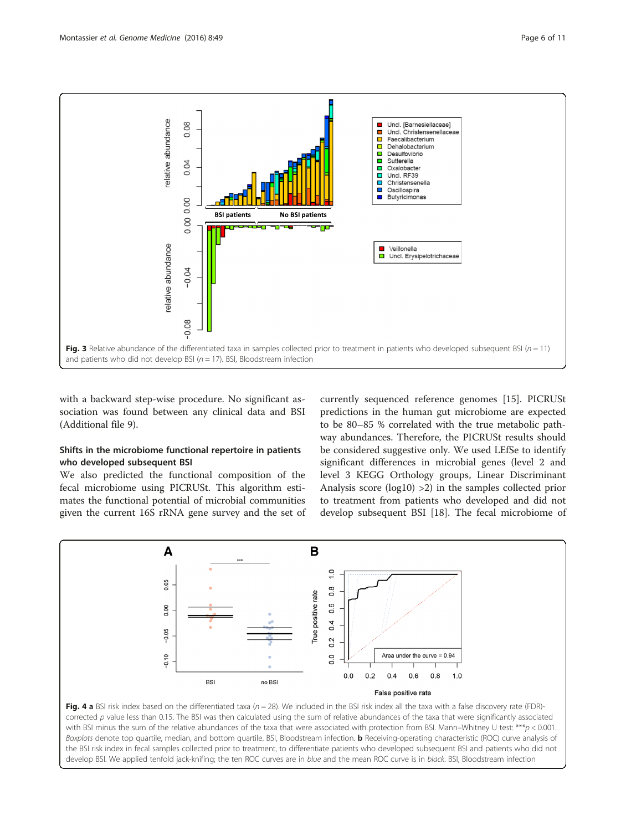<span id="page-5-0"></span>

with a backward step-wise procedure. No significant association was found between any clinical data and BSI (Additional file [9](#page-8-0)).

## Shifts in the microbiome functional repertoire in patients who developed subsequent BSI

We also predicted the functional composition of the fecal microbiome using PICRUSt. This algorithm estimates the functional potential of microbial communities given the current 16S rRNA gene survey and the set of

currently sequenced reference genomes [[15](#page-9-0)]. PICRUSt predictions in the human gut microbiome are expected to be 80–85 % correlated with the true metabolic pathway abundances. Therefore, the PICRUSt results should be considered suggestive only. We used LEfSe to identify significant differences in microbial genes (level 2 and level 3 KEGG Orthology groups, Linear Discriminant Analysis score (log10) >2) in the samples collected prior to treatment from patients who developed and did not develop subsequent BSI [\[18\]](#page-9-0). The fecal microbiome of



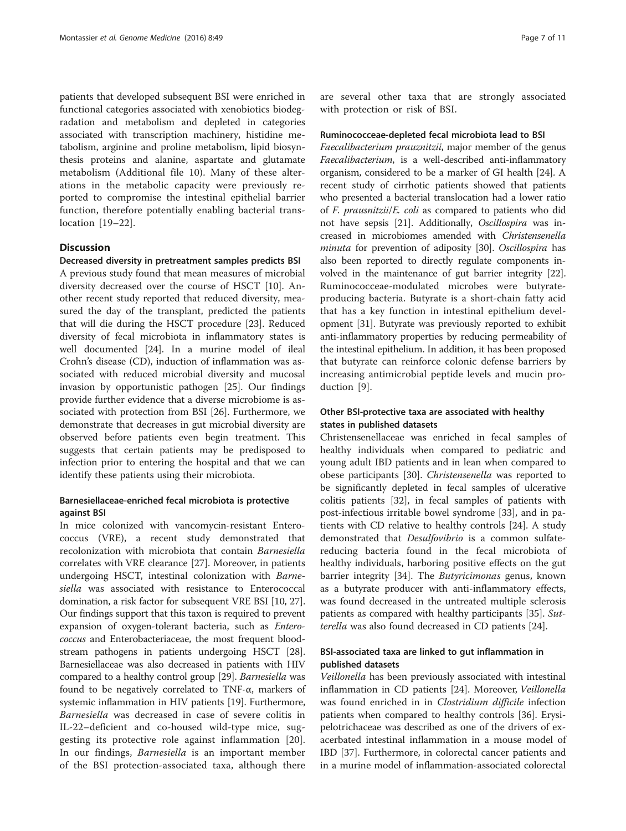patients that developed subsequent BSI were enriched in functional categories associated with xenobiotics biodegradation and metabolism and depleted in categories associated with transcription machinery, histidine metabolism, arginine and proline metabolism, lipid biosynthesis proteins and alanine, aspartate and glutamate metabolism (Additional file [10\)](#page-8-0). Many of these alterations in the metabolic capacity were previously reported to compromise the intestinal epithelial barrier function, therefore potentially enabling bacterial translocation [\[19](#page-9-0)–[22](#page-9-0)].

## Discussion

#### Decreased diversity in pretreatment samples predicts BSI

A previous study found that mean measures of microbial diversity decreased over the course of HSCT [\[10](#page-9-0)]. Another recent study reported that reduced diversity, measured the day of the transplant, predicted the patients that will die during the HSCT procedure [[23](#page-9-0)]. Reduced diversity of fecal microbiota in inflammatory states is well documented [[24\]](#page-9-0). In a murine model of ileal Crohn's disease (CD), induction of inflammation was associated with reduced microbial diversity and mucosal invasion by opportunistic pathogen [\[25\]](#page-9-0). Our findings provide further evidence that a diverse microbiome is associated with protection from BSI [\[26](#page-9-0)]. Furthermore, we demonstrate that decreases in gut microbial diversity are observed before patients even begin treatment. This suggests that certain patients may be predisposed to infection prior to entering the hospital and that we can identify these patients using their microbiota.

## Barnesiellaceae-enriched fecal microbiota is protective against BSI

In mice colonized with vancomycin-resistant Enterococcus (VRE), a recent study demonstrated that recolonization with microbiota that contain Barnesiella correlates with VRE clearance [[27\]](#page-9-0). Moreover, in patients undergoing HSCT, intestinal colonization with Barnesiella was associated with resistance to Enterococcal domination, a risk factor for subsequent VRE BSI [\[10, 27](#page-9-0)]. Our findings support that this taxon is required to prevent expansion of oxygen-tolerant bacteria, such as Enterococcus and Enterobacteriaceae, the most frequent bloodstream pathogens in patients undergoing HSCT [[28](#page-9-0)]. Barnesiellaceae was also decreased in patients with HIV compared to a healthy control group [[29](#page-9-0)]. Barnesiella was found to be negatively correlated to TNF-α, markers of systemic inflammation in HIV patients [\[19](#page-9-0)]. Furthermore, Barnesiella was decreased in case of severe colitis in IL-22–deficient and co-housed wild-type mice, suggesting its protective role against inflammation [\[20](#page-9-0)]. In our findings, *Barnesiella* is an important member of the BSI protection-associated taxa, although there

are several other taxa that are strongly associated with protection or risk of BSI.

#### Ruminococceae-depleted fecal microbiota lead to BSI

Faecalibacterium prauznitzii, major member of the genus Faecalibacterium, is a well-described anti-inflammatory organism, considered to be a marker of GI health [[24](#page-9-0)]. A recent study of cirrhotic patients showed that patients who presented a bacterial translocation had a lower ratio of F. prausnitzii/E. coli as compared to patients who did not have sepsis [\[21](#page-9-0)]. Additionally, Oscillospira was increased in microbiomes amended with Christensenella minuta for prevention of adiposity [[30](#page-9-0)]. Oscillospira has also been reported to directly regulate components involved in the maintenance of gut barrier integrity [[22](#page-9-0)]. Ruminococceae-modulated microbes were butyrateproducing bacteria. Butyrate is a short-chain fatty acid that has a key function in intestinal epithelium development [\[31](#page-9-0)]. Butyrate was previously reported to exhibit anti-inflammatory properties by reducing permeability of the intestinal epithelium. In addition, it has been proposed that butyrate can reinforce colonic defense barriers by increasing antimicrobial peptide levels and mucin production [[9\]](#page-9-0).

## Other BSI-protective taxa are associated with healthy states in published datasets

Christensenellaceae was enriched in fecal samples of healthy individuals when compared to pediatric and young adult IBD patients and in lean when compared to obese participants [[30\]](#page-9-0). Christensenella was reported to be significantly depleted in fecal samples of ulcerative colitis patients [[32\]](#page-9-0), in fecal samples of patients with post-infectious irritable bowel syndrome [[33](#page-9-0)], and in patients with CD relative to healthy controls [[24](#page-9-0)]. A study demonstrated that Desulfovibrio is a common sulfatereducing bacteria found in the fecal microbiota of healthy individuals, harboring positive effects on the gut barrier integrity [[34\]](#page-9-0). The *Butyricimonas* genus, known as a butyrate producer with anti-inflammatory effects, was found decreased in the untreated multiple sclerosis patients as compared with healthy participants [\[35](#page-9-0)]. Sutterella was also found decreased in CD patients [\[24](#page-9-0)].

## BSI-associated taxa are linked to gut inflammation in published datasets

Veillonella has been previously associated with intestinal inflammation in CD patients [\[24\]](#page-9-0). Moreover, Veillonella was found enriched in in *Clostridium difficile* infection patients when compared to healthy controls [\[36\]](#page-9-0). Erysipelotrichaceae was described as one of the drivers of exacerbated intestinal inflammation in a mouse model of IBD [\[37](#page-10-0)]. Furthermore, in colorectal cancer patients and in a murine model of inflammation-associated colorectal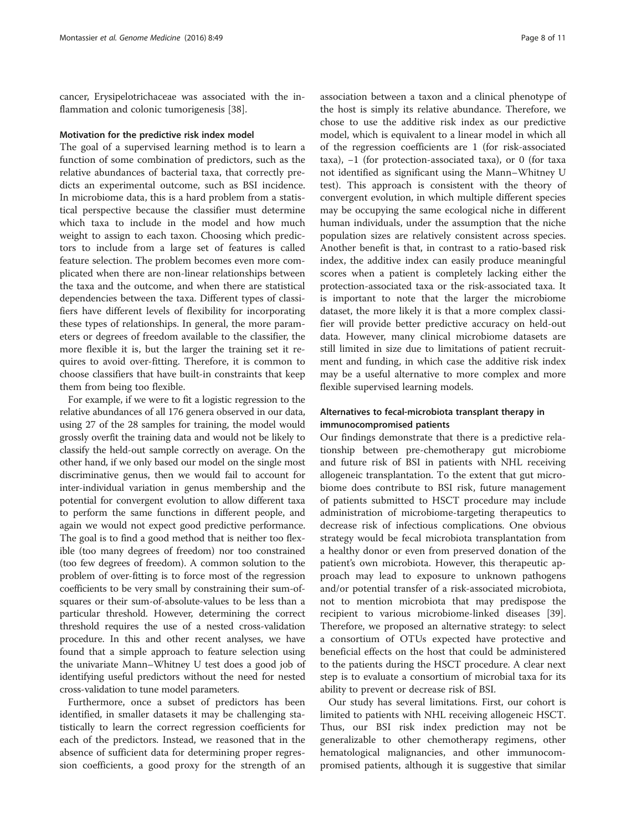cancer, Erysipelotrichaceae was associated with the inflammation and colonic tumorigenesis [\[38\]](#page-10-0).

#### Motivation for the predictive risk index model

The goal of a supervised learning method is to learn a function of some combination of predictors, such as the relative abundances of bacterial taxa, that correctly predicts an experimental outcome, such as BSI incidence. In microbiome data, this is a hard problem from a statistical perspective because the classifier must determine which taxa to include in the model and how much weight to assign to each taxon. Choosing which predictors to include from a large set of features is called feature selection. The problem becomes even more complicated when there are non-linear relationships between the taxa and the outcome, and when there are statistical dependencies between the taxa. Different types of classifiers have different levels of flexibility for incorporating these types of relationships. In general, the more parameters or degrees of freedom available to the classifier, the more flexible it is, but the larger the training set it requires to avoid over-fitting. Therefore, it is common to choose classifiers that have built-in constraints that keep them from being too flexible.

For example, if we were to fit a logistic regression to the relative abundances of all 176 genera observed in our data, using 27 of the 28 samples for training, the model would grossly overfit the training data and would not be likely to classify the held-out sample correctly on average. On the other hand, if we only based our model on the single most discriminative genus, then we would fail to account for inter-individual variation in genus membership and the potential for convergent evolution to allow different taxa to perform the same functions in different people, and again we would not expect good predictive performance. The goal is to find a good method that is neither too flexible (too many degrees of freedom) nor too constrained (too few degrees of freedom). A common solution to the problem of over-fitting is to force most of the regression coefficients to be very small by constraining their sum-ofsquares or their sum-of-absolute-values to be less than a particular threshold. However, determining the correct threshold requires the use of a nested cross-validation procedure. In this and other recent analyses, we have found that a simple approach to feature selection using the univariate Mann–Whitney U test does a good job of identifying useful predictors without the need for nested cross-validation to tune model parameters.

Furthermore, once a subset of predictors has been identified, in smaller datasets it may be challenging statistically to learn the correct regression coefficients for each of the predictors. Instead, we reasoned that in the absence of sufficient data for determining proper regression coefficients, a good proxy for the strength of an association between a taxon and a clinical phenotype of the host is simply its relative abundance. Therefore, we chose to use the additive risk index as our predictive model, which is equivalent to a linear model in which all of the regression coefficients are 1 (for risk-associated taxa), −1 (for protection-associated taxa), or 0 (for taxa not identified as significant using the Mann–Whitney U test). This approach is consistent with the theory of convergent evolution, in which multiple different species may be occupying the same ecological niche in different human individuals, under the assumption that the niche population sizes are relatively consistent across species. Another benefit is that, in contrast to a ratio-based risk index, the additive index can easily produce meaningful scores when a patient is completely lacking either the protection-associated taxa or the risk-associated taxa. It is important to note that the larger the microbiome dataset, the more likely it is that a more complex classifier will provide better predictive accuracy on held-out data. However, many clinical microbiome datasets are still limited in size due to limitations of patient recruitment and funding, in which case the additive risk index may be a useful alternative to more complex and more flexible supervised learning models.

## Alternatives to fecal-microbiota transplant therapy in immunocompromised patients

Our findings demonstrate that there is a predictive relationship between pre-chemotherapy gut microbiome and future risk of BSI in patients with NHL receiving allogeneic transplantation. To the extent that gut microbiome does contribute to BSI risk, future management of patients submitted to HSCT procedure may include administration of microbiome-targeting therapeutics to decrease risk of infectious complications. One obvious strategy would be fecal microbiota transplantation from a healthy donor or even from preserved donation of the patient's own microbiota. However, this therapeutic approach may lead to exposure to unknown pathogens and/or potential transfer of a risk-associated microbiota, not to mention microbiota that may predispose the recipient to various microbiome-linked diseases [\[39](#page-10-0)]. Therefore, we proposed an alternative strategy: to select a consortium of OTUs expected have protective and beneficial effects on the host that could be administered to the patients during the HSCT procedure. A clear next step is to evaluate a consortium of microbial taxa for its ability to prevent or decrease risk of BSI.

Our study has several limitations. First, our cohort is limited to patients with NHL receiving allogeneic HSCT. Thus, our BSI risk index prediction may not be generalizable to other chemotherapy regimens, other hematological malignancies, and other immunocompromised patients, although it is suggestive that similar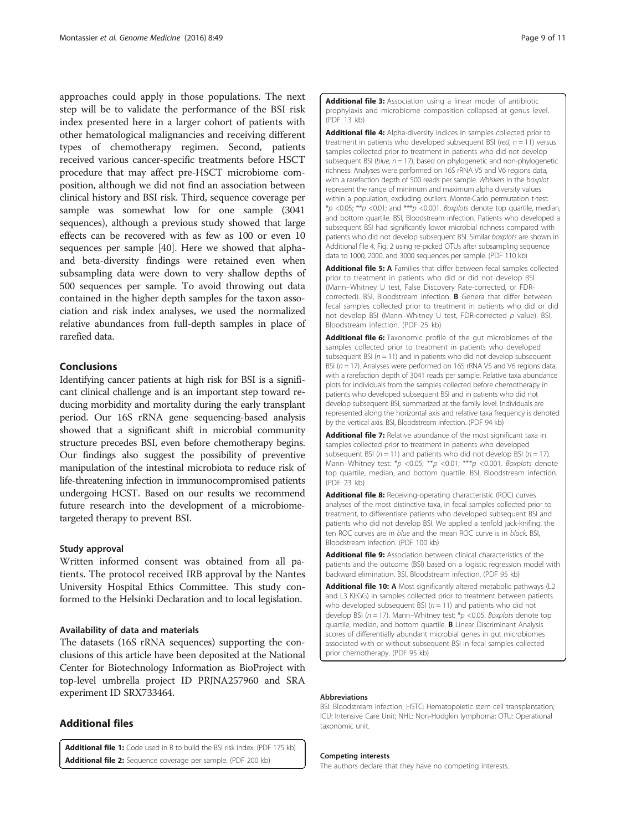<span id="page-8-0"></span>approaches could apply in those populations. The next step will be to validate the performance of the BSI risk index presented here in a larger cohort of patients with other hematological malignancies and receiving different types of chemotherapy regimen. Second, patients received various cancer-specific treatments before HSCT procedure that may affect pre-HSCT microbiome composition, although we did not find an association between clinical history and BSI risk. Third, sequence coverage per sample was somewhat low for one sample (3041 sequences), although a previous study showed that large effects can be recovered with as few as 100 or even 10 sequences per sample [\[40](#page-10-0)]. Here we showed that alphaand beta-diversity findings were retained even when subsampling data were down to very shallow depths of 500 sequences per sample. To avoid throwing out data contained in the higher depth samples for the taxon association and risk index analyses, we used the normalized relative abundances from full-depth samples in place of rarefied data.

## Conclusions

Identifying cancer patients at high risk for BSI is a significant clinical challenge and is an important step toward reducing morbidity and mortality during the early transplant period. Our 16S rRNA gene sequencing-based analysis showed that a significant shift in microbial community structure precedes BSI, even before chemotherapy begins. Our findings also suggest the possibility of preventive manipulation of the intestinal microbiota to reduce risk of life-threatening infection in immunocompromised patients undergoing HCST. Based on our results we recommend future research into the development of a microbiometargeted therapy to prevent BSI.

#### Study approval

Written informed consent was obtained from all patients. The protocol received IRB approval by the Nantes University Hospital Ethics Committee. This study conformed to the Helsinki Declaration and to local legislation.

## Availability of data and materials

The datasets (16S rRNA sequences) supporting the conclusions of this article have been deposited at the National Center for Biotechnology Information as BioProject with top-level umbrella project ID PRJNA257960 and SRA experiment ID SRX733464.

## Additional files

[Additional file 1:](dx.doi.org/10.1186/s13073-016-0301-4) Code used in R to build the BSI risk index. (PDF 175 kb) [Additional file 2:](dx.doi.org/10.1186/s13073-016-0301-4) Sequence coverage per sample. (PDF 200 kb)

[Additional file 3:](dx.doi.org/10.1186/s13073-016-0301-4) Association using a linear model of antibiotic prophylaxis and microbiome composition collapsed at genus level.  $(PDE 13 k)$ 

[Additional file 4:](dx.doi.org/10.1186/s13073-016-0301-4) Alpha-diversity indices in samples collected prior to treatment in patients who developed subsequent BSI (red,  $n = 11$ ) versus samples collected prior to treatment in patients who did not develop subsequent BSI (blue,  $n = 17$ ), based on phylogenetic and non-phylogenetic richness. Analyses were performed on 16S rRNA V5 and V6 regions data, with a rarefaction depth of 500 reads per sample. Whiskers in the boxplot represent the range of minimum and maximum alpha diversity values within a population, excluding outliers. Monte-Carlo permutation t-test:  $p$  <0.05; \*\*p <0.01; and \*\*\*p <0.001. Boxplots denote top quartile, median, and bottom quartile. BSI, Bloodstream infection. Patients who developed a subsequent BSI had significantly lower microbial richness compared with patients who did not develop subsequent BSI. Similar boxplots are shown in Additional file 4, Fig. [2](#page-4-0) using re-picked OTUs after subsampling sequence data to 1000, 2000, and 3000 sequences per sample. (PDF 110 kb)

[Additional file 5:](dx.doi.org/10.1186/s13073-016-0301-4) A Families that differ between fecal samples collected prior to treatment in patients who did or did not develop BSI (Mann–Whitney U test, False Discovery Rate-corrected, or FDRcorrected). BSI, Bloodstream infection. B Genera that differ between fecal samples collected prior to treatment in patients who did or did not develop BSI (Mann–Whitney U test, FDR-corrected p value). BSI, Bloodstream infection. (PDF 25 kb)

[Additional file 6:](dx.doi.org/10.1186/s13073-016-0301-4) Taxonomic profile of the gut microbiomes of the samples collected prior to treatment in patients who developed subsequent BSI ( $n = 11$ ) and in patients who did not develop subsequent BSI ( $n = 17$ ). Analyses were performed on 16S rRNA V5 and V6 regions data, with a rarefaction depth of 3041 reads per sample. Relative taxa abundance plots for individuals from the samples collected before chemotherapy in patients who developed subsequent BSI and in patients who did not develop subsequent BSI, summarized at the family level. Individuals are represented along the horizontal axis and relative taxa frequency is denoted by the vertical axis. BSI, Bloodstream infection. (PDF 94 kb)

[Additional file 7:](dx.doi.org/10.1186/s13073-016-0301-4) Relative abundance of the most significant taxa in samples collected prior to treatment in patients who developed subsequent BSI ( $n = 11$ ) and patients who did not develop BSI ( $n = 17$ ). Mann–Whitney test:  $*_{p}$  <0.05;  $*_{p}$  <0.01;  $**_{p}$  <0.001. Boxplots denote top quartile, median, and bottom quartile. BSI, Bloodstream infection. (PDF 23 kb)

[Additional file 8:](dx.doi.org/10.1186/s13073-016-0301-4) Receiving-operating characteristic (ROC) curves analyses of the most distinctive taxa, in fecal samples collected prior to treatment, to differentiate patients who developed subsequent BSI and patients who did not develop BSI. We applied a tenfold jack-knifing, the ten ROC curves are in blue and the mean ROC curve is in black. BSI, Bloodstream infection. (PDF 100 kb)

[Additional file 9:](dx.doi.org/10.1186/s13073-016-0301-4) Association between clinical characteristics of the patients and the outcome (BSI) based on a logistic regression model with backward elimination. BSI, Bloodstream infection. (PDF 95 kb)

[Additional file 10:](dx.doi.org/10.1186/s13073-016-0301-4) A Most significantly altered metabolic pathways (L2 and L3 KEGG) in samples collected prior to treatment between patients who developed subsequent BSI ( $n = 11$ ) and patients who did not develop BSI ( $n = 17$ ). Mann–Whitney test: \*p <0.05. Boxplots denote top quartile, median, and bottom quartile. B Linear Discriminant Analysis scores of differentially abundant microbial genes in gut microbiomes associated with or without subsequent BSI in fecal samples collected prior chemotherapy. (PDF 95 kb)

#### Abbreviations

BSI: Bloodstream infection; HSTC: Hematopoietic stem cell transplantation; ICU: Intensive Care Unit; NHL: Non-Hodgkin lymphoma; OTU: Operational taxonomic unit.

#### Competing interests

The authors declare that they have no competing interests.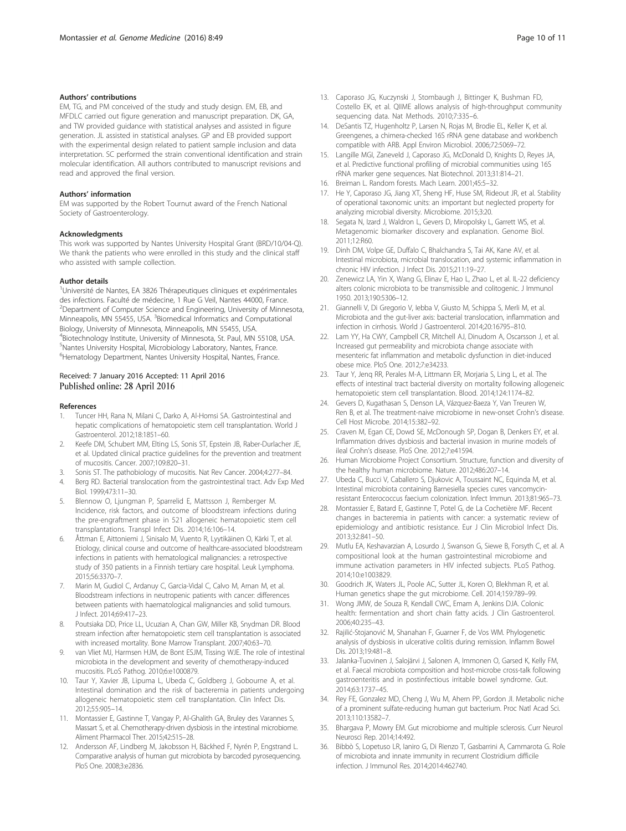#### <span id="page-9-0"></span>Authors' contributions

EM, TG, and PM conceived of the study and study design. EM, EB, and MFDLC carried out figure generation and manuscript preparation. DK, GA, and TW provided guidance with statistical analyses and assisted in figure generation. JL assisted in statistical analyses. GP and EB provided support with the experimental design related to patient sample inclusion and data interpretation. SC performed the strain conventional identification and strain molecular identification. All authors contributed to manuscript revisions and read and approved the final version.

#### Authors' information

EM was supported by the Robert Tournut award of the French National Society of Gastroenterology.

#### Acknowledgments

This work was supported by Nantes University Hospital Grant (BRD/10/04-Q). We thank the patients who were enrolled in this study and the clinical staff who assisted with sample collection.

#### Author details

<sup>1</sup>Université de Nantes, EA 3826 Thérapeutiques cliniques et expérimentales des infections. Faculté de médecine, 1 Rue G Veil, Nantes 44000, France. <sup>2</sup>Department of Computer Science and Engineering, University of Minnesota, Minneapolis, MN 55455, USA. <sup>3</sup> Biomedical Informatics and Computational Biology, University of Minnesota, Minneapolis, MN 55455, USA. 4 Biotechnology Institute, University of Minnesota, St. Paul, MN 55108, USA. 5 Nantes University Hospital, Microbiology Laboratory, Nantes, France. 6 Hematology Department, Nantes University Hospital, Nantes, France.

#### Received: 7 January 2016 Accepted: 11 April 2016 Published online: 28 April 2016

#### References

- 1. Tuncer HH, Rana N, Milani C, Darko A, Al-Homsi SA. Gastrointestinal and hepatic complications of hematopoietic stem cell transplantation. World J Gastroenterol. 2012;18:1851–60.
- 2. Keefe DM, Schubert MM, Elting LS, Sonis ST, Epstein JB, Raber-Durlacher JE, et al. Updated clinical practice guidelines for the prevention and treatment of mucositis. Cancer. 2007;109:820–31.
- 3. Sonis ST. The pathobiology of mucositis. Nat Rev Cancer. 2004;4:277–84.
- 4. Berg RD. Bacterial translocation from the gastrointestinal tract. Adv Exp Med Biol. 1999;473:11–30.
- 5. Blennow O, Ljungman P, Sparrelid E, Mattsson J, Remberger M. Incidence, risk factors, and outcome of bloodstream infections during the pre-engraftment phase in 521 allogeneic hematopoietic stem cell transplantations. Transpl Infect Dis. 2014;16:106–14.
- Åttman E, Aittoniemi J, Sinisalo M, Vuento R, Lyytikäinen O, Kärki T, et al. Etiology, clinical course and outcome of healthcare-associated bloodstream infections in patients with hematological malignancies: a retrospective study of 350 patients in a Finnish tertiary care hospital. Leuk Lymphoma. 2015;56:3370–7.
- 7. Marin M, Gudiol C, Ardanuy C, Garcia-Vidal C, Calvo M, Arnan M, et al. Bloodstream infections in neutropenic patients with cancer: differences between patients with haematological malignancies and solid tumours. J Infect. 2014;69:417–23.
- 8. Poutsiaka DD, Price LL, Ucuzian A, Chan GW, Miller KB, Snydman DR. Blood stream infection after hematopoietic stem cell transplantation is associated with increased mortality. Bone Marrow Transplant. 2007;40:63–70.
- van Vliet MJ, Harmsen HJM, de Bont ESJM, Tissing WJE. The role of intestinal microbiota in the development and severity of chemotherapy-induced mucositis. PLoS Pathog. 2010;6:e1000879.
- 10. Taur Y, Xavier JB, Lipuma L, Ubeda C, Goldberg J, Gobourne A, et al. Intestinal domination and the risk of bacteremia in patients undergoing allogeneic hematopoietic stem cell transplantation. Clin Infect Dis. 2012;55:905–14.
- 11. Montassier E, Gastinne T, Vangay P, Al-Ghalith GA, Bruley des Varannes S, Massart S, et al. Chemotherapy-driven dysbiosis in the intestinal microbiome. Aliment Pharmacol Ther. 2015;42:515–28.
- 12. Andersson AF, Lindberg M, Jakobsson H, Bäckhed F, Nyrén P, Engstrand L. Comparative analysis of human gut microbiota by barcoded pyrosequencing. PloS One. 2008;3:e2836.
- 13. Caporaso JG, Kuczynski J, Stombaugh J, Bittinger K, Bushman FD, Costello EK, et al. QIIME allows analysis of high-throughput community sequencing data. Nat Methods. 2010;7:335–6.
- 14. DeSantis TZ, Hugenholtz P, Larsen N, Rojas M, Brodie EL, Keller K, et al. Greengenes, a chimera-checked 16S rRNA gene database and workbench compatible with ARB. Appl Environ Microbiol. 2006;72:5069–72.
- 15. Langille MGI, Zaneveld J, Caporaso JG, McDonald D, Knights D, Reyes JA, et al. Predictive functional profiling of microbial communities using 16S rRNA marker gene sequences. Nat Biotechnol. 2013;31:814–21.
- 16. Breiman L. Random forests. Mach Learn. 2001;45:5–32.
- 17. He Y, Caporaso JG, Jiang XT, Sheng HF, Huse SM, Rideout JR, et al. Stability of operational taxonomic units: an important but neglected property for analyzing microbial diversity. Microbiome. 2015;3:20.
- 18. Segata N, Izard J, Waldron L, Gevers D, Miropolsky L, Garrett WS, et al. Metagenomic biomarker discovery and explanation. Genome Biol. 2011;12:R60.
- 19. Dinh DM, Volpe GE, Duffalo C, Bhalchandra S, Tai AK, Kane AV, et al. Intestinal microbiota, microbial translocation, and systemic inflammation in chronic HIV infection. J Infect Dis. 2015;211:19–27.
- 20. Zenewicz LA, Yin X, Wang G, Elinav E, Hao L, Zhao L, et al. IL-22 deficiency alters colonic microbiota to be transmissible and colitogenic. J Immunol 1950. 2013;190:5306–12.
- 21. Giannelli V, Di Gregorio V, Iebba V, Giusto M, Schippa S, Merli M, et al. Microbiota and the gut-liver axis: bacterial translocation, inflammation and infection in cirrhosis. World J Gastroenterol. 2014;20:16795–810.
- 22. Lam YY, Ha CWY, Campbell CR, Mitchell AJ, Dinudom A, Oscarsson J, et al. Increased gut permeability and microbiota change associate with mesenteric fat inflammation and metabolic dysfunction in diet-induced obese mice. PloS One. 2012;7:e34233.
- 23. Taur Y, Jenq RR, Perales M-A, Littmann ER, Morjaria S, Ling L, et al. The effects of intestinal tract bacterial diversity on mortality following allogeneic hematopoietic stem cell transplantation. Blood. 2014;124:1174–82.
- 24. Gevers D, Kugathasan S, Denson LA, Vázquez-Baeza Y, Van Treuren W, Ren B, et al. The treatment-naive microbiome in new-onset Crohn's disease. Cell Host Microbe. 2014;15:382–92.
- 25. Craven M, Egan CE, Dowd SE, McDonough SP, Dogan B, Denkers EY, et al. Inflammation drives dysbiosis and bacterial invasion in murine models of ileal Crohn's disease. PloS One. 2012;7:e41594.
- 26. Human Microbiome Project Consortium. Structure, function and diversity of the healthy human microbiome. Nature. 2012;486:207–14.
- 27. Ubeda C, Bucci V, Caballero S, Djukovic A, Toussaint NC, Equinda M, et al. Intestinal microbiota containing Barnesiella species cures vancomycinresistant Enterococcus faecium colonization. Infect Immun. 2013;81:965–73.
- 28. Montassier E, Batard E, Gastinne T, Potel G, de La Cochetière MF. Recent changes in bacteremia in patients with cancer: a systematic review of epidemiology and antibiotic resistance. Eur J Clin Microbiol Infect Dis. 2013;32:841–50.
- 29. Mutlu EA, Keshavarzian A, Losurdo J, Swanson G, Siewe B, Forsyth C, et al. A compositional look at the human gastrointestinal microbiome and immune activation parameters in HIV infected subjects. PLoS Pathog. 2014;10:e1003829.
- 30. Goodrich JK, Waters JL, Poole AC, Sutter JL, Koren O, Blekhman R, et al. Human genetics shape the gut microbiome. Cell. 2014;159:789–99.
- 31. Wong JMW, de Souza R, Kendall CWC, Emam A, Jenkins DJA. Colonic health: fermentation and short chain fatty acids. J Clin Gastroenterol. 2006;40:235–43.
- 32. Rajilić-Stojanović M, Shanahan F, Guarner F, de Vos WM. Phylogenetic analysis of dysbiosis in ulcerative colitis during remission. Inflamm Bowel Dis. 2013;19:481–8.
- 33. Jalanka-Tuovinen J, Salojärvi J, Salonen A, Immonen O, Garsed K, Kelly FM, et al. Faecal microbiota composition and host-microbe cross-talk following gastroenteritis and in postinfectious irritable bowel syndrome. Gut. 2014;63:1737–45.
- 34. Rey FE, Gonzalez MD, Cheng J, Wu M, Ahern PP, Gordon JI. Metabolic niche of a prominent sulfate-reducing human gut bacterium. Proc Natl Acad Sci. 2013;110:13582–7.
- 35. Bhargava P, Mowry EM. Gut microbiome and multiple sclerosis. Curr Neurol Neurosci Rep. 2014;14:492.
- 36. Bibbò S, Lopetuso LR, Ianiro G, Di Rienzo T, Gasbarrini A, Cammarota G. Role of microbiota and innate immunity in recurrent Clostridium difficile infection. J Immunol Res. 2014;2014:462740.